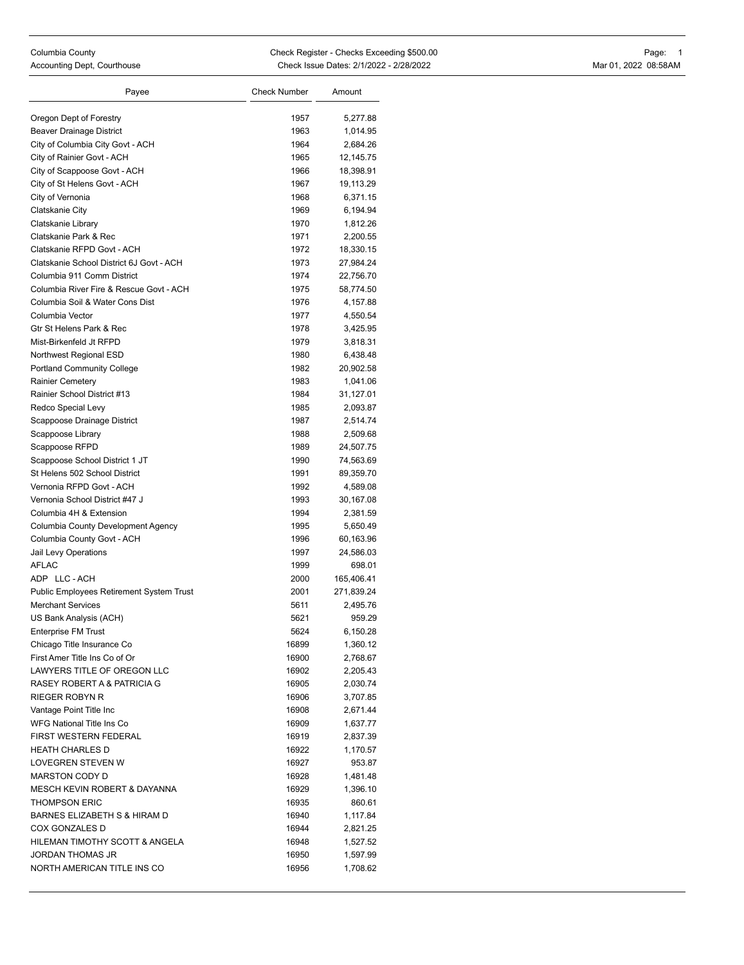| Payee                                           | Check Number | Amount     |
|-------------------------------------------------|--------------|------------|
|                                                 |              |            |
| Oregon Dept of Forestry                         | 1957         | 5,277.88   |
| <b>Beaver Drainage District</b>                 | 1963         | 1,014.95   |
| City of Columbia City Govt - ACH                | 1964         | 2,684.26   |
| City of Rainier Govt - ACH                      | 1965         | 12,145.75  |
| City of Scappoose Govt - ACH                    | 1966         | 18,398.91  |
| City of St Helens Govt - ACH                    | 1967         | 19,113.29  |
| City of Vernonia                                | 1968         | 6,371.15   |
| Clatskanie City                                 | 1969         | 6,194.94   |
| Clatskanie Library                              | 1970         | 1,812.26   |
| Clatskanie Park & Rec                           | 1971         | 2,200.55   |
| Clatskanie RFPD Govt - ACH                      | 1972         | 18,330.15  |
| Clatskanie School District 6J Govt - ACH        | 1973         | 27,984.24  |
| Columbia 911 Comm District                      | 1974         | 22,756.70  |
| Columbia River Fire & Rescue Govt - ACH         | 1975         | 58,774.50  |
| Columbia Soil & Water Cons Dist                 | 1976         | 4,157.88   |
| Columbia Vector                                 | 1977         | 4,550.54   |
| Gtr St Helens Park & Rec                        | 1978         | 3,425.95   |
| Mist-Birkenfeld Jt RFPD                         | 1979         | 3,818.31   |
| Northwest Regional ESD                          | 1980         | 6,438.48   |
| <b>Portland Community College</b>               | 1982         | 20,902.58  |
| Rainier Cemetery                                | 1983         | 1,041.06   |
| Rainier School District #13                     | 1984         | 31,127.01  |
| Redco Special Levy                              | 1985         | 2,093.87   |
| Scappoose Drainage District                     | 1987         | 2,514.74   |
| Scappoose Library                               | 1988         | 2,509.68   |
| Scappoose RFPD                                  | 1989         | 24,507.75  |
| Scappoose School District 1 JT                  | 1990         | 74,563.69  |
| St Helens 502 School District                   | 1991         | 89,359.70  |
| Vernonia RFPD Govt - ACH                        | 1992         | 4,589.08   |
| Vernonia School District #47 J                  | 1993         | 30,167.08  |
| Columbia 4H & Extension                         | 1994         | 2,381.59   |
| Columbia County Development Agency              | 1995         | 5,650.49   |
| Columbia County Govt - ACH                      | 1996         | 60,163.96  |
| Jail Levy Operations                            | 1997         | 24,586.03  |
| AFLAC                                           | 1999         | 698.01     |
| ADP LLC-ACH                                     | 2000         | 165,406.41 |
| <b>Public Employees Retirement System Trust</b> | 2001         | 271,839.24 |
| <b>Merchant Services</b>                        | 5611         | 2,495.76   |
| US Bank Analysis (ACH)                          | 5621         | 959.29     |
| <b>Enterprise FM Trust</b>                      | 5624         | 6,150.28   |
| Chicago Title Insurance Co                      | 16899        | 1,360.12   |
| First Amer Title Ins Co of Or                   | 16900        | 2,768.67   |
| LAWYERS TITLE OF OREGON LLC                     | 16902        | 2,205.43   |
| RASEY ROBERT A & PATRICIA G                     | 16905        | 2,030.74   |
| <b>RIEGER ROBYN R</b>                           | 16906        | 3,707.85   |
| Vantage Point Title Inc                         | 16908        | 2,671.44   |
| WFG National Title Ins Co                       | 16909        | 1,637.77   |
| FIRST WESTERN FEDERAL                           | 16919        | 2,837.39   |
| <b>HEATH CHARLES D</b>                          | 16922        | 1,170.57   |
| <b>LOVEGREN STEVEN W</b>                        | 16927        | 953.87     |
| <b>MARSTON CODY D</b>                           | 16928        | 1,481.48   |
| MESCH KEVIN ROBERT & DAYANNA                    | 16929        | 1,396.10   |
| THOMPSON ERIC                                   | 16935        | 860.61     |
| BARNES ELIZABETH S & HIRAM D                    | 16940        | 1,117.84   |
| COX GONZALES D                                  | 16944        | 2,821.25   |
| HILEMAN TIMOTHY SCOTT & ANGELA                  | 16948        | 1,527.52   |
| JORDAN THOMAS JR                                | 16950        | 1,597.99   |
| NORTH AMERICAN TITLE INS CO                     | 16956        | 1,708.62   |
|                                                 |              |            |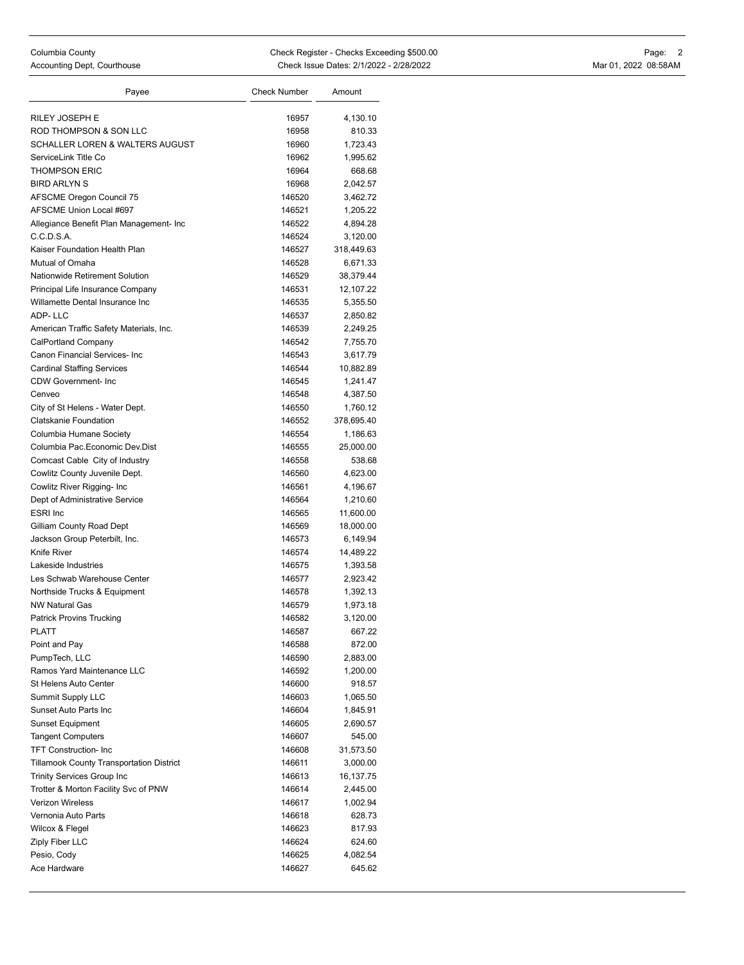| Payee                                                      | <b>Check Number</b> | Amount               |
|------------------------------------------------------------|---------------------|----------------------|
|                                                            |                     |                      |
| RILEY JOSEPH E                                             | 16957               | 4,130.10             |
| ROD THOMPSON & SON LLC<br>SCHALLER LOREN & WALTERS AUGUST  | 16958               | 810.33               |
|                                                            | 16960               | 1,723.43             |
| ServiceLink Title Co                                       | 16962<br>16964      | 1,995.62             |
| <b>THOMPSON ERIC</b>                                       |                     | 668.68               |
| <b>BIRD ARLYN S</b>                                        | 16968               | 2,042.57             |
| <b>AFSCME Oregon Council 75</b><br>AFSCME Union Local #697 | 146520              | 3,462.72             |
|                                                            | 146521              | 1,205.22             |
| Allegiance Benefit Plan Management- Inc<br>C.C.D.S.A.      | 146522<br>146524    | 4,894.28<br>3,120.00 |
| Kaiser Foundation Health Plan                              | 146527              | 318,449.63           |
| Mutual of Omaha                                            | 146528              | 6,671.33             |
| Nationwide Retirement Solution                             | 146529              | 38,379.44            |
| Principal Life Insurance Company                           | 146531              | 12,107.22            |
| Willamette Dental Insurance Inc                            | 146535              | 5,355.50             |
| ADP-LLC                                                    | 146537              | 2,850.82             |
| American Traffic Safety Materials, Inc.                    | 146539              | 2,249.25             |
| CalPortland Company                                        | 146542              | 7,755.70             |
| Canon Financial Services- Inc                              | 146543              | 3,617.79             |
| <b>Cardinal Staffing Services</b>                          | 146544              | 10,882.89            |
| <b>CDW Government-Inc</b>                                  | 146545              | 1,241.47             |
| Cenveo                                                     | 146548              | 4,387.50             |
| City of St Helens - Water Dept.                            | 146550              | 1,760.12             |
| <b>Clatskanie Foundation</b>                               | 146552              | 378,695.40           |
| Columbia Humane Society                                    | 146554              | 1,186.63             |
| Columbia Pac.Economic Dev.Dist                             | 146555              | 25,000.00            |
| Comcast Cable City of Industry                             | 146558              | 538.68               |
| Cowlitz County Juvenile Dept.                              | 146560              | 4,623.00             |
| Cowlitz River Rigging- Inc                                 | 146561              | 4,196.67             |
| Dept of Administrative Service                             | 146564              | 1,210.60             |
| <b>ESRI</b> Inc                                            | 146565              | 11,600.00            |
| Gilliam County Road Dept                                   | 146569              | 18,000.00            |
| Jackson Group Peterbilt, Inc.                              | 146573              | 6,149.94             |
| Knife River                                                | 146574              | 14,489.22            |
| Lakeside Industries                                        | 146575              | 1,393.58             |
| Les Schwab Warehouse Center                                | 146577              | 2,923.42             |
| Northside Trucks & Equipment                               | 146578              | 1,392.13             |
| <b>NW Natural Gas</b>                                      | 146579              | 1,973.18             |
| <b>Patrick Provins Trucking</b>                            | 146582              | 3,120.00             |
| PLATT                                                      | 146587              | 667.22               |
| Point and Pay                                              | 146588              | 872.00               |
| PumpTech, LLC                                              | 146590              | 2,883.00             |
| Ramos Yard Maintenance LLC                                 | 146592              | 1,200.00             |
| St Helens Auto Center                                      | 146600              | 918.57               |
| Summit Supply LLC                                          | 146603              | 1,065.50             |
| Sunset Auto Parts Inc                                      | 146604              | 1,845.91             |
| <b>Sunset Equipment</b>                                    | 146605              | 2,690.57             |
| <b>Tangent Computers</b>                                   | 146607              | 545.00               |
| <b>TFT Construction-Inc</b>                                | 146608              | 31,573.50            |
| <b>Tillamook County Transportation District</b>            | 146611              | 3,000.00             |
| <b>Trinity Services Group Inc</b>                          | 146613              | 16,137.75            |
| Trotter & Morton Facility Svc of PNW                       | 146614              | 2,445.00             |
| <b>Verizon Wireless</b>                                    | 146617              | 1,002.94             |
| Vernonia Auto Parts                                        | 146618              | 628.73               |
| Wilcox & Flegel                                            | 146623              | 817.93               |
| Ziply Fiber LLC                                            | 146624              | 624.60               |
| Pesio, Cody                                                | 146625              | 4,082.54             |
| Ace Hardware                                               | 146627              | 645.62               |
|                                                            |                     |                      |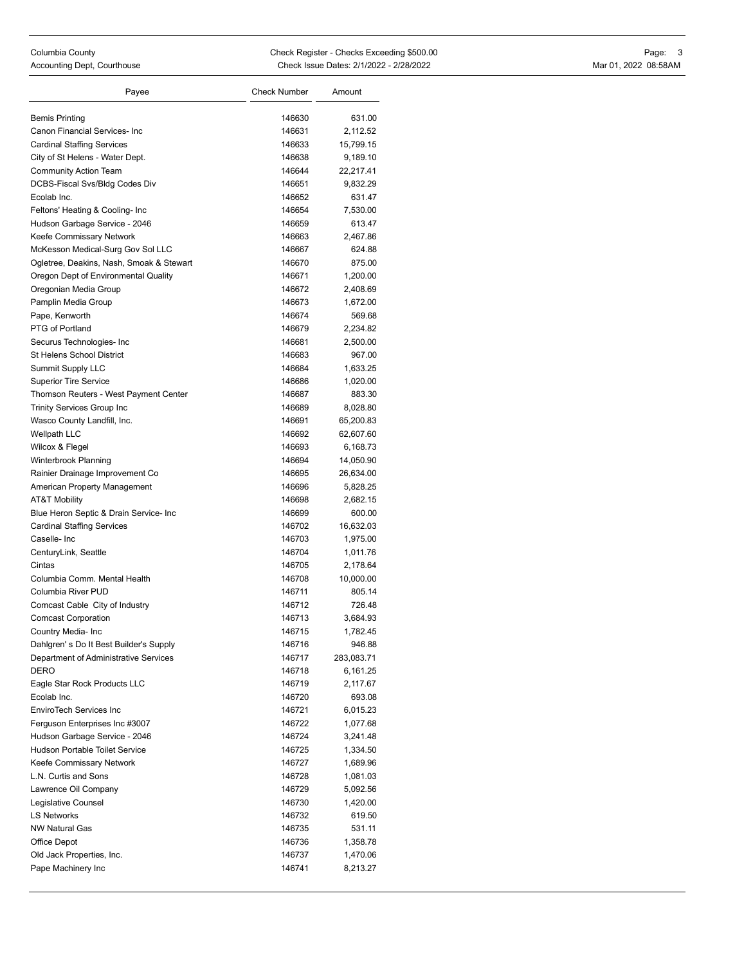| <b>Bemis Printing</b><br>146630<br>631.00<br>Canon Financial Services- Inc<br>2.112.52<br>146631<br><b>Cardinal Staffing Services</b><br>146633<br>15,799.15<br>City of St Helens - Water Dept.<br>146638<br>9,189.10<br><b>Community Action Team</b><br>146644<br>22,217.41<br>DCBS-Fiscal Svs/Bldg Codes Div<br>146651<br>9,832.29<br>Ecolab Inc.<br>146652<br>631.47<br>Feltons' Heating & Cooling- Inc<br>146654<br>7,530.00<br>Hudson Garbage Service - 2046<br>146659<br>613.47<br>Keefe Commissary Network<br>146663<br>2,467.86<br>McKesson Medical-Surg Gov Sol LLC<br>146667<br>624.88<br>Ogletree, Deakins, Nash, Smoak & Stewart<br>146670<br>875.00<br>Oregon Dept of Environmental Quality<br>146671<br>1,200.00<br>Oregonian Media Group<br>146672<br>2,408.69<br>Pamplin Media Group<br>146673<br>1,672.00<br>Pape, Kenworth<br>146674<br>569.68<br>PTG of Portland<br>146679<br>2,234.82<br>Securus Technologies- Inc<br>146681<br>2,500.00<br><b>St Helens School District</b><br>146683<br>967.00<br>Summit Supply LLC<br>146684<br>1,633.25<br><b>Superior Tire Service</b><br>146686<br>1,020.00<br>Thomson Reuters - West Payment Center<br>883.30<br>146687<br><b>Trinity Services Group Inc</b><br>146689<br>8,028.80<br>Wasco County Landfill, Inc.<br>146691<br>65,200.83<br>Wellpath LLC<br>146692<br>62,607.60<br>Wilcox & Flegel<br>146693<br>6,168.73<br>Winterbrook Planning<br>146694<br>14,050.90<br>Rainier Drainage Improvement Co<br>146695<br>26,634.00<br>American Property Management<br>146696<br>5,828.25<br><b>AT&amp;T Mobility</b><br>146698<br>2,682.15<br>Blue Heron Septic & Drain Service- Inc<br>146699<br>600.00<br><b>Cardinal Staffing Services</b><br>146702<br>16,632.03<br>Caselle-Inc<br>146703<br>1,975.00<br>CenturyLink, Seattle<br>146704<br>1,011.76<br>Cintas<br>146705<br>2,178.64<br>Columbia Comm. Mental Health<br>146708<br>10,000.00<br>Columbia River PUD<br>146711<br>805.14<br>Comcast Cable City of Industry<br>146712<br>726.48<br><b>Comcast Corporation</b><br>146713<br>3,684.93<br>146715<br>1,782.45<br>Country Media- Inc<br>Dahlgren's Do It Best Builder's Supply<br>146716<br>946.88<br>Department of Administrative Services<br>146717<br>283,083.71<br>DERO<br>146718<br>6,161.25<br>Eagle Star Rock Products LLC<br>146719<br>2,117.67<br>Ecolab Inc.<br>146720<br>693.08<br>EnviroTech Services Inc<br>146721<br>6,015.23<br>Ferguson Enterprises Inc #3007<br>146722<br>1,077.68<br>Hudson Garbage Service - 2046<br>146724<br>3,241.48<br><b>Hudson Portable Toilet Service</b><br>146725<br>1,334.50<br>Keefe Commissary Network<br>146727<br>1,689.96<br>L.N. Curtis and Sons<br>146728<br>1,081.03<br>Lawrence Oil Company<br>146729<br>5,092.56<br>Legislative Counsel<br>146730<br>1,420.00<br><b>LS Networks</b><br>146732<br>619.50<br><b>NW Natural Gas</b><br>531.11<br>146735<br>Office Depot<br>146736<br>1,358.78<br>Old Jack Properties, Inc.<br>146737<br>1,470.06<br>Pape Machinery Inc<br>146741<br>8,213.27 | Payee | Check Number | Amount |
|----------------------------------------------------------------------------------------------------------------------------------------------------------------------------------------------------------------------------------------------------------------------------------------------------------------------------------------------------------------------------------------------------------------------------------------------------------------------------------------------------------------------------------------------------------------------------------------------------------------------------------------------------------------------------------------------------------------------------------------------------------------------------------------------------------------------------------------------------------------------------------------------------------------------------------------------------------------------------------------------------------------------------------------------------------------------------------------------------------------------------------------------------------------------------------------------------------------------------------------------------------------------------------------------------------------------------------------------------------------------------------------------------------------------------------------------------------------------------------------------------------------------------------------------------------------------------------------------------------------------------------------------------------------------------------------------------------------------------------------------------------------------------------------------------------------------------------------------------------------------------------------------------------------------------------------------------------------------------------------------------------------------------------------------------------------------------------------------------------------------------------------------------------------------------------------------------------------------------------------------------------------------------------------------------------------------------------------------------------------------------------------------------------------------------------------------------------------------------------------------------------------------------------------------------------------------------------------------------------------------------------------------------------------------------------------------------------------------------------------------------------------------------------------------------------------------------------------------------------------------------------------------------------------------------------------------------------------------------------------------------------------------|-------|--------------|--------|
|                                                                                                                                                                                                                                                                                                                                                                                                                                                                                                                                                                                                                                                                                                                                                                                                                                                                                                                                                                                                                                                                                                                                                                                                                                                                                                                                                                                                                                                                                                                                                                                                                                                                                                                                                                                                                                                                                                                                                                                                                                                                                                                                                                                                                                                                                                                                                                                                                                                                                                                                                                                                                                                                                                                                                                                                                                                                                                                                                                                                                      |       |              |        |
|                                                                                                                                                                                                                                                                                                                                                                                                                                                                                                                                                                                                                                                                                                                                                                                                                                                                                                                                                                                                                                                                                                                                                                                                                                                                                                                                                                                                                                                                                                                                                                                                                                                                                                                                                                                                                                                                                                                                                                                                                                                                                                                                                                                                                                                                                                                                                                                                                                                                                                                                                                                                                                                                                                                                                                                                                                                                                                                                                                                                                      |       |              |        |
|                                                                                                                                                                                                                                                                                                                                                                                                                                                                                                                                                                                                                                                                                                                                                                                                                                                                                                                                                                                                                                                                                                                                                                                                                                                                                                                                                                                                                                                                                                                                                                                                                                                                                                                                                                                                                                                                                                                                                                                                                                                                                                                                                                                                                                                                                                                                                                                                                                                                                                                                                                                                                                                                                                                                                                                                                                                                                                                                                                                                                      |       |              |        |
|                                                                                                                                                                                                                                                                                                                                                                                                                                                                                                                                                                                                                                                                                                                                                                                                                                                                                                                                                                                                                                                                                                                                                                                                                                                                                                                                                                                                                                                                                                                                                                                                                                                                                                                                                                                                                                                                                                                                                                                                                                                                                                                                                                                                                                                                                                                                                                                                                                                                                                                                                                                                                                                                                                                                                                                                                                                                                                                                                                                                                      |       |              |        |
|                                                                                                                                                                                                                                                                                                                                                                                                                                                                                                                                                                                                                                                                                                                                                                                                                                                                                                                                                                                                                                                                                                                                                                                                                                                                                                                                                                                                                                                                                                                                                                                                                                                                                                                                                                                                                                                                                                                                                                                                                                                                                                                                                                                                                                                                                                                                                                                                                                                                                                                                                                                                                                                                                                                                                                                                                                                                                                                                                                                                                      |       |              |        |
|                                                                                                                                                                                                                                                                                                                                                                                                                                                                                                                                                                                                                                                                                                                                                                                                                                                                                                                                                                                                                                                                                                                                                                                                                                                                                                                                                                                                                                                                                                                                                                                                                                                                                                                                                                                                                                                                                                                                                                                                                                                                                                                                                                                                                                                                                                                                                                                                                                                                                                                                                                                                                                                                                                                                                                                                                                                                                                                                                                                                                      |       |              |        |
|                                                                                                                                                                                                                                                                                                                                                                                                                                                                                                                                                                                                                                                                                                                                                                                                                                                                                                                                                                                                                                                                                                                                                                                                                                                                                                                                                                                                                                                                                                                                                                                                                                                                                                                                                                                                                                                                                                                                                                                                                                                                                                                                                                                                                                                                                                                                                                                                                                                                                                                                                                                                                                                                                                                                                                                                                                                                                                                                                                                                                      |       |              |        |
|                                                                                                                                                                                                                                                                                                                                                                                                                                                                                                                                                                                                                                                                                                                                                                                                                                                                                                                                                                                                                                                                                                                                                                                                                                                                                                                                                                                                                                                                                                                                                                                                                                                                                                                                                                                                                                                                                                                                                                                                                                                                                                                                                                                                                                                                                                                                                                                                                                                                                                                                                                                                                                                                                                                                                                                                                                                                                                                                                                                                                      |       |              |        |
|                                                                                                                                                                                                                                                                                                                                                                                                                                                                                                                                                                                                                                                                                                                                                                                                                                                                                                                                                                                                                                                                                                                                                                                                                                                                                                                                                                                                                                                                                                                                                                                                                                                                                                                                                                                                                                                                                                                                                                                                                                                                                                                                                                                                                                                                                                                                                                                                                                                                                                                                                                                                                                                                                                                                                                                                                                                                                                                                                                                                                      |       |              |        |
|                                                                                                                                                                                                                                                                                                                                                                                                                                                                                                                                                                                                                                                                                                                                                                                                                                                                                                                                                                                                                                                                                                                                                                                                                                                                                                                                                                                                                                                                                                                                                                                                                                                                                                                                                                                                                                                                                                                                                                                                                                                                                                                                                                                                                                                                                                                                                                                                                                                                                                                                                                                                                                                                                                                                                                                                                                                                                                                                                                                                                      |       |              |        |
|                                                                                                                                                                                                                                                                                                                                                                                                                                                                                                                                                                                                                                                                                                                                                                                                                                                                                                                                                                                                                                                                                                                                                                                                                                                                                                                                                                                                                                                                                                                                                                                                                                                                                                                                                                                                                                                                                                                                                                                                                                                                                                                                                                                                                                                                                                                                                                                                                                                                                                                                                                                                                                                                                                                                                                                                                                                                                                                                                                                                                      |       |              |        |
|                                                                                                                                                                                                                                                                                                                                                                                                                                                                                                                                                                                                                                                                                                                                                                                                                                                                                                                                                                                                                                                                                                                                                                                                                                                                                                                                                                                                                                                                                                                                                                                                                                                                                                                                                                                                                                                                                                                                                                                                                                                                                                                                                                                                                                                                                                                                                                                                                                                                                                                                                                                                                                                                                                                                                                                                                                                                                                                                                                                                                      |       |              |        |
|                                                                                                                                                                                                                                                                                                                                                                                                                                                                                                                                                                                                                                                                                                                                                                                                                                                                                                                                                                                                                                                                                                                                                                                                                                                                                                                                                                                                                                                                                                                                                                                                                                                                                                                                                                                                                                                                                                                                                                                                                                                                                                                                                                                                                                                                                                                                                                                                                                                                                                                                                                                                                                                                                                                                                                                                                                                                                                                                                                                                                      |       |              |        |
|                                                                                                                                                                                                                                                                                                                                                                                                                                                                                                                                                                                                                                                                                                                                                                                                                                                                                                                                                                                                                                                                                                                                                                                                                                                                                                                                                                                                                                                                                                                                                                                                                                                                                                                                                                                                                                                                                                                                                                                                                                                                                                                                                                                                                                                                                                                                                                                                                                                                                                                                                                                                                                                                                                                                                                                                                                                                                                                                                                                                                      |       |              |        |
|                                                                                                                                                                                                                                                                                                                                                                                                                                                                                                                                                                                                                                                                                                                                                                                                                                                                                                                                                                                                                                                                                                                                                                                                                                                                                                                                                                                                                                                                                                                                                                                                                                                                                                                                                                                                                                                                                                                                                                                                                                                                                                                                                                                                                                                                                                                                                                                                                                                                                                                                                                                                                                                                                                                                                                                                                                                                                                                                                                                                                      |       |              |        |
|                                                                                                                                                                                                                                                                                                                                                                                                                                                                                                                                                                                                                                                                                                                                                                                                                                                                                                                                                                                                                                                                                                                                                                                                                                                                                                                                                                                                                                                                                                                                                                                                                                                                                                                                                                                                                                                                                                                                                                                                                                                                                                                                                                                                                                                                                                                                                                                                                                                                                                                                                                                                                                                                                                                                                                                                                                                                                                                                                                                                                      |       |              |        |
|                                                                                                                                                                                                                                                                                                                                                                                                                                                                                                                                                                                                                                                                                                                                                                                                                                                                                                                                                                                                                                                                                                                                                                                                                                                                                                                                                                                                                                                                                                                                                                                                                                                                                                                                                                                                                                                                                                                                                                                                                                                                                                                                                                                                                                                                                                                                                                                                                                                                                                                                                                                                                                                                                                                                                                                                                                                                                                                                                                                                                      |       |              |        |
|                                                                                                                                                                                                                                                                                                                                                                                                                                                                                                                                                                                                                                                                                                                                                                                                                                                                                                                                                                                                                                                                                                                                                                                                                                                                                                                                                                                                                                                                                                                                                                                                                                                                                                                                                                                                                                                                                                                                                                                                                                                                                                                                                                                                                                                                                                                                                                                                                                                                                                                                                                                                                                                                                                                                                                                                                                                                                                                                                                                                                      |       |              |        |
|                                                                                                                                                                                                                                                                                                                                                                                                                                                                                                                                                                                                                                                                                                                                                                                                                                                                                                                                                                                                                                                                                                                                                                                                                                                                                                                                                                                                                                                                                                                                                                                                                                                                                                                                                                                                                                                                                                                                                                                                                                                                                                                                                                                                                                                                                                                                                                                                                                                                                                                                                                                                                                                                                                                                                                                                                                                                                                                                                                                                                      |       |              |        |
|                                                                                                                                                                                                                                                                                                                                                                                                                                                                                                                                                                                                                                                                                                                                                                                                                                                                                                                                                                                                                                                                                                                                                                                                                                                                                                                                                                                                                                                                                                                                                                                                                                                                                                                                                                                                                                                                                                                                                                                                                                                                                                                                                                                                                                                                                                                                                                                                                                                                                                                                                                                                                                                                                                                                                                                                                                                                                                                                                                                                                      |       |              |        |
|                                                                                                                                                                                                                                                                                                                                                                                                                                                                                                                                                                                                                                                                                                                                                                                                                                                                                                                                                                                                                                                                                                                                                                                                                                                                                                                                                                                                                                                                                                                                                                                                                                                                                                                                                                                                                                                                                                                                                                                                                                                                                                                                                                                                                                                                                                                                                                                                                                                                                                                                                                                                                                                                                                                                                                                                                                                                                                                                                                                                                      |       |              |        |
|                                                                                                                                                                                                                                                                                                                                                                                                                                                                                                                                                                                                                                                                                                                                                                                                                                                                                                                                                                                                                                                                                                                                                                                                                                                                                                                                                                                                                                                                                                                                                                                                                                                                                                                                                                                                                                                                                                                                                                                                                                                                                                                                                                                                                                                                                                                                                                                                                                                                                                                                                                                                                                                                                                                                                                                                                                                                                                                                                                                                                      |       |              |        |
|                                                                                                                                                                                                                                                                                                                                                                                                                                                                                                                                                                                                                                                                                                                                                                                                                                                                                                                                                                                                                                                                                                                                                                                                                                                                                                                                                                                                                                                                                                                                                                                                                                                                                                                                                                                                                                                                                                                                                                                                                                                                                                                                                                                                                                                                                                                                                                                                                                                                                                                                                                                                                                                                                                                                                                                                                                                                                                                                                                                                                      |       |              |        |
|                                                                                                                                                                                                                                                                                                                                                                                                                                                                                                                                                                                                                                                                                                                                                                                                                                                                                                                                                                                                                                                                                                                                                                                                                                                                                                                                                                                                                                                                                                                                                                                                                                                                                                                                                                                                                                                                                                                                                                                                                                                                                                                                                                                                                                                                                                                                                                                                                                                                                                                                                                                                                                                                                                                                                                                                                                                                                                                                                                                                                      |       |              |        |
|                                                                                                                                                                                                                                                                                                                                                                                                                                                                                                                                                                                                                                                                                                                                                                                                                                                                                                                                                                                                                                                                                                                                                                                                                                                                                                                                                                                                                                                                                                                                                                                                                                                                                                                                                                                                                                                                                                                                                                                                                                                                                                                                                                                                                                                                                                                                                                                                                                                                                                                                                                                                                                                                                                                                                                                                                                                                                                                                                                                                                      |       |              |        |
|                                                                                                                                                                                                                                                                                                                                                                                                                                                                                                                                                                                                                                                                                                                                                                                                                                                                                                                                                                                                                                                                                                                                                                                                                                                                                                                                                                                                                                                                                                                                                                                                                                                                                                                                                                                                                                                                                                                                                                                                                                                                                                                                                                                                                                                                                                                                                                                                                                                                                                                                                                                                                                                                                                                                                                                                                                                                                                                                                                                                                      |       |              |        |
|                                                                                                                                                                                                                                                                                                                                                                                                                                                                                                                                                                                                                                                                                                                                                                                                                                                                                                                                                                                                                                                                                                                                                                                                                                                                                                                                                                                                                                                                                                                                                                                                                                                                                                                                                                                                                                                                                                                                                                                                                                                                                                                                                                                                                                                                                                                                                                                                                                                                                                                                                                                                                                                                                                                                                                                                                                                                                                                                                                                                                      |       |              |        |
|                                                                                                                                                                                                                                                                                                                                                                                                                                                                                                                                                                                                                                                                                                                                                                                                                                                                                                                                                                                                                                                                                                                                                                                                                                                                                                                                                                                                                                                                                                                                                                                                                                                                                                                                                                                                                                                                                                                                                                                                                                                                                                                                                                                                                                                                                                                                                                                                                                                                                                                                                                                                                                                                                                                                                                                                                                                                                                                                                                                                                      |       |              |        |
|                                                                                                                                                                                                                                                                                                                                                                                                                                                                                                                                                                                                                                                                                                                                                                                                                                                                                                                                                                                                                                                                                                                                                                                                                                                                                                                                                                                                                                                                                                                                                                                                                                                                                                                                                                                                                                                                                                                                                                                                                                                                                                                                                                                                                                                                                                                                                                                                                                                                                                                                                                                                                                                                                                                                                                                                                                                                                                                                                                                                                      |       |              |        |
|                                                                                                                                                                                                                                                                                                                                                                                                                                                                                                                                                                                                                                                                                                                                                                                                                                                                                                                                                                                                                                                                                                                                                                                                                                                                                                                                                                                                                                                                                                                                                                                                                                                                                                                                                                                                                                                                                                                                                                                                                                                                                                                                                                                                                                                                                                                                                                                                                                                                                                                                                                                                                                                                                                                                                                                                                                                                                                                                                                                                                      |       |              |        |
|                                                                                                                                                                                                                                                                                                                                                                                                                                                                                                                                                                                                                                                                                                                                                                                                                                                                                                                                                                                                                                                                                                                                                                                                                                                                                                                                                                                                                                                                                                                                                                                                                                                                                                                                                                                                                                                                                                                                                                                                                                                                                                                                                                                                                                                                                                                                                                                                                                                                                                                                                                                                                                                                                                                                                                                                                                                                                                                                                                                                                      |       |              |        |
|                                                                                                                                                                                                                                                                                                                                                                                                                                                                                                                                                                                                                                                                                                                                                                                                                                                                                                                                                                                                                                                                                                                                                                                                                                                                                                                                                                                                                                                                                                                                                                                                                                                                                                                                                                                                                                                                                                                                                                                                                                                                                                                                                                                                                                                                                                                                                                                                                                                                                                                                                                                                                                                                                                                                                                                                                                                                                                                                                                                                                      |       |              |        |
|                                                                                                                                                                                                                                                                                                                                                                                                                                                                                                                                                                                                                                                                                                                                                                                                                                                                                                                                                                                                                                                                                                                                                                                                                                                                                                                                                                                                                                                                                                                                                                                                                                                                                                                                                                                                                                                                                                                                                                                                                                                                                                                                                                                                                                                                                                                                                                                                                                                                                                                                                                                                                                                                                                                                                                                                                                                                                                                                                                                                                      |       |              |        |
|                                                                                                                                                                                                                                                                                                                                                                                                                                                                                                                                                                                                                                                                                                                                                                                                                                                                                                                                                                                                                                                                                                                                                                                                                                                                                                                                                                                                                                                                                                                                                                                                                                                                                                                                                                                                                                                                                                                                                                                                                                                                                                                                                                                                                                                                                                                                                                                                                                                                                                                                                                                                                                                                                                                                                                                                                                                                                                                                                                                                                      |       |              |        |
|                                                                                                                                                                                                                                                                                                                                                                                                                                                                                                                                                                                                                                                                                                                                                                                                                                                                                                                                                                                                                                                                                                                                                                                                                                                                                                                                                                                                                                                                                                                                                                                                                                                                                                                                                                                                                                                                                                                                                                                                                                                                                                                                                                                                                                                                                                                                                                                                                                                                                                                                                                                                                                                                                                                                                                                                                                                                                                                                                                                                                      |       |              |        |
|                                                                                                                                                                                                                                                                                                                                                                                                                                                                                                                                                                                                                                                                                                                                                                                                                                                                                                                                                                                                                                                                                                                                                                                                                                                                                                                                                                                                                                                                                                                                                                                                                                                                                                                                                                                                                                                                                                                                                                                                                                                                                                                                                                                                                                                                                                                                                                                                                                                                                                                                                                                                                                                                                                                                                                                                                                                                                                                                                                                                                      |       |              |        |
|                                                                                                                                                                                                                                                                                                                                                                                                                                                                                                                                                                                                                                                                                                                                                                                                                                                                                                                                                                                                                                                                                                                                                                                                                                                                                                                                                                                                                                                                                                                                                                                                                                                                                                                                                                                                                                                                                                                                                                                                                                                                                                                                                                                                                                                                                                                                                                                                                                                                                                                                                                                                                                                                                                                                                                                                                                                                                                                                                                                                                      |       |              |        |
|                                                                                                                                                                                                                                                                                                                                                                                                                                                                                                                                                                                                                                                                                                                                                                                                                                                                                                                                                                                                                                                                                                                                                                                                                                                                                                                                                                                                                                                                                                                                                                                                                                                                                                                                                                                                                                                                                                                                                                                                                                                                                                                                                                                                                                                                                                                                                                                                                                                                                                                                                                                                                                                                                                                                                                                                                                                                                                                                                                                                                      |       |              |        |
|                                                                                                                                                                                                                                                                                                                                                                                                                                                                                                                                                                                                                                                                                                                                                                                                                                                                                                                                                                                                                                                                                                                                                                                                                                                                                                                                                                                                                                                                                                                                                                                                                                                                                                                                                                                                                                                                                                                                                                                                                                                                                                                                                                                                                                                                                                                                                                                                                                                                                                                                                                                                                                                                                                                                                                                                                                                                                                                                                                                                                      |       |              |        |
|                                                                                                                                                                                                                                                                                                                                                                                                                                                                                                                                                                                                                                                                                                                                                                                                                                                                                                                                                                                                                                                                                                                                                                                                                                                                                                                                                                                                                                                                                                                                                                                                                                                                                                                                                                                                                                                                                                                                                                                                                                                                                                                                                                                                                                                                                                                                                                                                                                                                                                                                                                                                                                                                                                                                                                                                                                                                                                                                                                                                                      |       |              |        |
|                                                                                                                                                                                                                                                                                                                                                                                                                                                                                                                                                                                                                                                                                                                                                                                                                                                                                                                                                                                                                                                                                                                                                                                                                                                                                                                                                                                                                                                                                                                                                                                                                                                                                                                                                                                                                                                                                                                                                                                                                                                                                                                                                                                                                                                                                                                                                                                                                                                                                                                                                                                                                                                                                                                                                                                                                                                                                                                                                                                                                      |       |              |        |
|                                                                                                                                                                                                                                                                                                                                                                                                                                                                                                                                                                                                                                                                                                                                                                                                                                                                                                                                                                                                                                                                                                                                                                                                                                                                                                                                                                                                                                                                                                                                                                                                                                                                                                                                                                                                                                                                                                                                                                                                                                                                                                                                                                                                                                                                                                                                                                                                                                                                                                                                                                                                                                                                                                                                                                                                                                                                                                                                                                                                                      |       |              |        |
|                                                                                                                                                                                                                                                                                                                                                                                                                                                                                                                                                                                                                                                                                                                                                                                                                                                                                                                                                                                                                                                                                                                                                                                                                                                                                                                                                                                                                                                                                                                                                                                                                                                                                                                                                                                                                                                                                                                                                                                                                                                                                                                                                                                                                                                                                                                                                                                                                                                                                                                                                                                                                                                                                                                                                                                                                                                                                                                                                                                                                      |       |              |        |
|                                                                                                                                                                                                                                                                                                                                                                                                                                                                                                                                                                                                                                                                                                                                                                                                                                                                                                                                                                                                                                                                                                                                                                                                                                                                                                                                                                                                                                                                                                                                                                                                                                                                                                                                                                                                                                                                                                                                                                                                                                                                                                                                                                                                                                                                                                                                                                                                                                                                                                                                                                                                                                                                                                                                                                                                                                                                                                                                                                                                                      |       |              |        |
|                                                                                                                                                                                                                                                                                                                                                                                                                                                                                                                                                                                                                                                                                                                                                                                                                                                                                                                                                                                                                                                                                                                                                                                                                                                                                                                                                                                                                                                                                                                                                                                                                                                                                                                                                                                                                                                                                                                                                                                                                                                                                                                                                                                                                                                                                                                                                                                                                                                                                                                                                                                                                                                                                                                                                                                                                                                                                                                                                                                                                      |       |              |        |
|                                                                                                                                                                                                                                                                                                                                                                                                                                                                                                                                                                                                                                                                                                                                                                                                                                                                                                                                                                                                                                                                                                                                                                                                                                                                                                                                                                                                                                                                                                                                                                                                                                                                                                                                                                                                                                                                                                                                                                                                                                                                                                                                                                                                                                                                                                                                                                                                                                                                                                                                                                                                                                                                                                                                                                                                                                                                                                                                                                                                                      |       |              |        |
|                                                                                                                                                                                                                                                                                                                                                                                                                                                                                                                                                                                                                                                                                                                                                                                                                                                                                                                                                                                                                                                                                                                                                                                                                                                                                                                                                                                                                                                                                                                                                                                                                                                                                                                                                                                                                                                                                                                                                                                                                                                                                                                                                                                                                                                                                                                                                                                                                                                                                                                                                                                                                                                                                                                                                                                                                                                                                                                                                                                                                      |       |              |        |
|                                                                                                                                                                                                                                                                                                                                                                                                                                                                                                                                                                                                                                                                                                                                                                                                                                                                                                                                                                                                                                                                                                                                                                                                                                                                                                                                                                                                                                                                                                                                                                                                                                                                                                                                                                                                                                                                                                                                                                                                                                                                                                                                                                                                                                                                                                                                                                                                                                                                                                                                                                                                                                                                                                                                                                                                                                                                                                                                                                                                                      |       |              |        |
|                                                                                                                                                                                                                                                                                                                                                                                                                                                                                                                                                                                                                                                                                                                                                                                                                                                                                                                                                                                                                                                                                                                                                                                                                                                                                                                                                                                                                                                                                                                                                                                                                                                                                                                                                                                                                                                                                                                                                                                                                                                                                                                                                                                                                                                                                                                                                                                                                                                                                                                                                                                                                                                                                                                                                                                                                                                                                                                                                                                                                      |       |              |        |
|                                                                                                                                                                                                                                                                                                                                                                                                                                                                                                                                                                                                                                                                                                                                                                                                                                                                                                                                                                                                                                                                                                                                                                                                                                                                                                                                                                                                                                                                                                                                                                                                                                                                                                                                                                                                                                                                                                                                                                                                                                                                                                                                                                                                                                                                                                                                                                                                                                                                                                                                                                                                                                                                                                                                                                                                                                                                                                                                                                                                                      |       |              |        |
|                                                                                                                                                                                                                                                                                                                                                                                                                                                                                                                                                                                                                                                                                                                                                                                                                                                                                                                                                                                                                                                                                                                                                                                                                                                                                                                                                                                                                                                                                                                                                                                                                                                                                                                                                                                                                                                                                                                                                                                                                                                                                                                                                                                                                                                                                                                                                                                                                                                                                                                                                                                                                                                                                                                                                                                                                                                                                                                                                                                                                      |       |              |        |
|                                                                                                                                                                                                                                                                                                                                                                                                                                                                                                                                                                                                                                                                                                                                                                                                                                                                                                                                                                                                                                                                                                                                                                                                                                                                                                                                                                                                                                                                                                                                                                                                                                                                                                                                                                                                                                                                                                                                                                                                                                                                                                                                                                                                                                                                                                                                                                                                                                                                                                                                                                                                                                                                                                                                                                                                                                                                                                                                                                                                                      |       |              |        |
|                                                                                                                                                                                                                                                                                                                                                                                                                                                                                                                                                                                                                                                                                                                                                                                                                                                                                                                                                                                                                                                                                                                                                                                                                                                                                                                                                                                                                                                                                                                                                                                                                                                                                                                                                                                                                                                                                                                                                                                                                                                                                                                                                                                                                                                                                                                                                                                                                                                                                                                                                                                                                                                                                                                                                                                                                                                                                                                                                                                                                      |       |              |        |
|                                                                                                                                                                                                                                                                                                                                                                                                                                                                                                                                                                                                                                                                                                                                                                                                                                                                                                                                                                                                                                                                                                                                                                                                                                                                                                                                                                                                                                                                                                                                                                                                                                                                                                                                                                                                                                                                                                                                                                                                                                                                                                                                                                                                                                                                                                                                                                                                                                                                                                                                                                                                                                                                                                                                                                                                                                                                                                                                                                                                                      |       |              |        |
|                                                                                                                                                                                                                                                                                                                                                                                                                                                                                                                                                                                                                                                                                                                                                                                                                                                                                                                                                                                                                                                                                                                                                                                                                                                                                                                                                                                                                                                                                                                                                                                                                                                                                                                                                                                                                                                                                                                                                                                                                                                                                                                                                                                                                                                                                                                                                                                                                                                                                                                                                                                                                                                                                                                                                                                                                                                                                                                                                                                                                      |       |              |        |
|                                                                                                                                                                                                                                                                                                                                                                                                                                                                                                                                                                                                                                                                                                                                                                                                                                                                                                                                                                                                                                                                                                                                                                                                                                                                                                                                                                                                                                                                                                                                                                                                                                                                                                                                                                                                                                                                                                                                                                                                                                                                                                                                                                                                                                                                                                                                                                                                                                                                                                                                                                                                                                                                                                                                                                                                                                                                                                                                                                                                                      |       |              |        |
|                                                                                                                                                                                                                                                                                                                                                                                                                                                                                                                                                                                                                                                                                                                                                                                                                                                                                                                                                                                                                                                                                                                                                                                                                                                                                                                                                                                                                                                                                                                                                                                                                                                                                                                                                                                                                                                                                                                                                                                                                                                                                                                                                                                                                                                                                                                                                                                                                                                                                                                                                                                                                                                                                                                                                                                                                                                                                                                                                                                                                      |       |              |        |
|                                                                                                                                                                                                                                                                                                                                                                                                                                                                                                                                                                                                                                                                                                                                                                                                                                                                                                                                                                                                                                                                                                                                                                                                                                                                                                                                                                                                                                                                                                                                                                                                                                                                                                                                                                                                                                                                                                                                                                                                                                                                                                                                                                                                                                                                                                                                                                                                                                                                                                                                                                                                                                                                                                                                                                                                                                                                                                                                                                                                                      |       |              |        |
|                                                                                                                                                                                                                                                                                                                                                                                                                                                                                                                                                                                                                                                                                                                                                                                                                                                                                                                                                                                                                                                                                                                                                                                                                                                                                                                                                                                                                                                                                                                                                                                                                                                                                                                                                                                                                                                                                                                                                                                                                                                                                                                                                                                                                                                                                                                                                                                                                                                                                                                                                                                                                                                                                                                                                                                                                                                                                                                                                                                                                      |       |              |        |
|                                                                                                                                                                                                                                                                                                                                                                                                                                                                                                                                                                                                                                                                                                                                                                                                                                                                                                                                                                                                                                                                                                                                                                                                                                                                                                                                                                                                                                                                                                                                                                                                                                                                                                                                                                                                                                                                                                                                                                                                                                                                                                                                                                                                                                                                                                                                                                                                                                                                                                                                                                                                                                                                                                                                                                                                                                                                                                                                                                                                                      |       |              |        |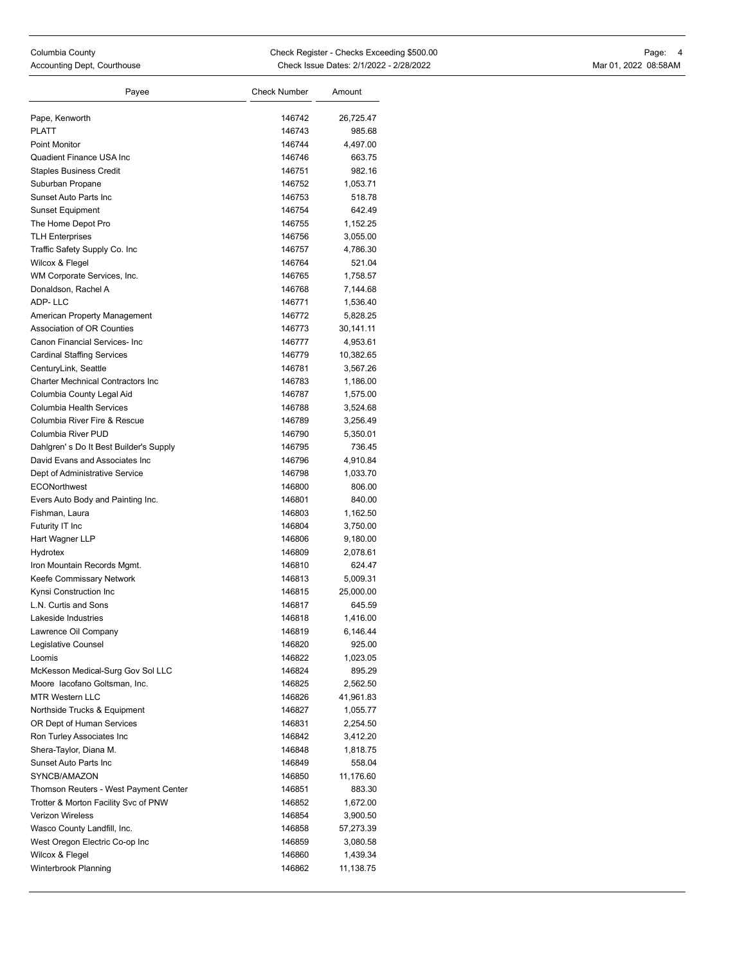| Columbia County          |  |
|--------------------------|--|
| Accounting Dept. Courtho |  |

| Payee                                     | <b>Check Number</b> | Amount    |
|-------------------------------------------|---------------------|-----------|
| Pape, Kenworth                            | 146742              | 26,725.47 |
| <b>PLATT</b>                              | 146743              | 985.68    |
| <b>Point Monitor</b>                      | 146744              | 4,497.00  |
| Quadient Finance USA Inc                  | 146746              | 663.75    |
| <b>Staples Business Credit</b>            | 146751              | 982.16    |
| Suburban Propane                          | 146752              | 1,053.71  |
| Sunset Auto Parts Inc                     | 146753              | 518.78    |
| <b>Sunset Equipment</b>                   | 146754              | 642.49    |
| The Home Depot Pro                        | 146755              | 1,152.25  |
| <b>TLH Enterprises</b>                    | 146756              | 3,055.00  |
| Traffic Safety Supply Co. Inc             | 146757              | 4,786.30  |
| Wilcox & Flegel                           | 146764              | 521.04    |
| WM Corporate Services, Inc.               | 146765              | 1,758.57  |
| Donaldson, Rachel A                       | 146768              | 7,144.68  |
| ADP-LLC                                   | 146771              | 1,536.40  |
| American Property Management              | 146772              | 5,828.25  |
| Association of OR Counties                | 146773              | 30,141.11 |
| Canon Financial Services- Inc             | 146777              | 4,953.61  |
| <b>Cardinal Staffing Services</b>         | 146779              | 10,382.65 |
| CenturyLink, Seattle                      | 146781              | 3,567.26  |
| <b>Charter Mechnical Contractors Inc.</b> | 146783              | 1,186.00  |
| Columbia County Legal Aid                 | 146787              | 1,575.00  |
| Columbia Health Services                  | 146788              | 3,524.68  |
| Columbia River Fire & Rescue              | 146789              | 3,256.49  |
| Columbia River PUD                        | 146790              | 5,350.01  |
| Dahlgren's Do It Best Builder's Supply    | 146795              | 736.45    |
| David Evans and Associates Inc            | 146796              | 4,910.84  |
| Dept of Administrative Service            | 146798              | 1,033.70  |
| <b>ECONorthwest</b>                       | 146800              | 806.00    |
| Evers Auto Body and Painting Inc.         | 146801              | 840.00    |
| Fishman, Laura                            | 146803              | 1,162.50  |
| Futurity IT Inc                           | 146804              | 3,750.00  |
| Hart Wagner LLP                           | 146806              | 9,180.00  |
| Hydrotex                                  | 146809              | 2,078.61  |
| Iron Mountain Records Mgmt.               | 146810              | 624.47    |
| Keefe Commissary Network                  | 146813              | 5,009.31  |
| Kynsi Construction Inc                    | 146815              | 25,000.00 |
| L.N. Curtis and Sons                      | 146817              | 645.59    |
| Lakeside Industries                       | 146818              | 1,416.00  |
| Lawrence Oil Company                      | 146819              | 6,146.44  |
| Legislative Counsel                       | 146820              | 925.00    |
| Loomis                                    | 146822              | 1,023.05  |
| McKesson Medical-Surg Gov Sol LLC         | 146824              | 895.29    |
| Moore lacofano Goltsman, Inc.             | 146825              | 2,562.50  |
| <b>MTR Western LLC</b>                    | 146826              | 41,961.83 |
| Northside Trucks & Equipment              | 146827              | 1,055.77  |
| OR Dept of Human Services                 | 146831              | 2,254.50  |
| Ron Turley Associates Inc                 | 146842              | 3,412.20  |
| Shera-Taylor, Diana M.                    | 146848              | 1,818.75  |
| Sunset Auto Parts Inc                     | 146849              | 558.04    |
| SYNCB/AMAZON                              | 146850              | 11,176.60 |
| Thomson Reuters - West Payment Center     | 146851              | 883.30    |
| Trotter & Morton Facility Svc of PNW      | 146852              | 1,672.00  |
| <b>Verizon Wireless</b>                   | 146854              | 3,900.50  |
| Wasco County Landfill, Inc.               | 146858              | 57,273.39 |
| West Oregon Electric Co-op Inc            | 146859              | 3,080.58  |
| Wilcox & Flegel                           | 146860              | 1,439.34  |
| Winterbrook Planning                      |                     |           |